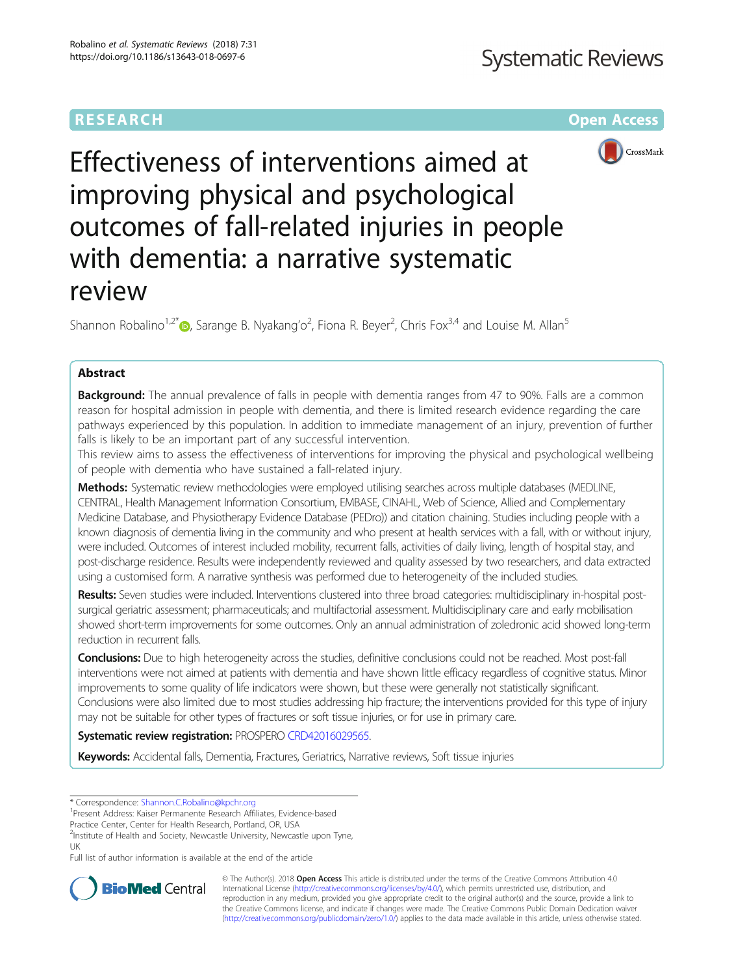# **RESEARCH CHEAR CHEAR CHEAR CHEAR CHEAR CHEAR CHEAR CHEAR CHEAR CHEAR CHEAR CHEAR CHEAR CHEAR CHEAR CHEAR CHEAR**



Effectiveness of interventions aimed at improving physical and psychological outcomes of fall-related injuries in people with dementia: a narrative systematic review

Shannon Robalino<sup>1,2[\\*](http://orcid.org/0000-0002-6359-1827)</sup>®, Sarange B. Nyakang'o<sup>2</sup>, Fiona R. Beyer<sup>2</sup>, Chris Fox<sup>3,4</sup> and Louise M. Allan<sup>5</sup>

## Abstract

**Background:** The annual prevalence of falls in people with dementia ranges from 47 to 90%. Falls are a common reason for hospital admission in people with dementia, and there is limited research evidence regarding the care pathways experienced by this population. In addition to immediate management of an injury, prevention of further falls is likely to be an important part of any successful intervention.

This review aims to assess the effectiveness of interventions for improving the physical and psychological wellbeing of people with dementia who have sustained a fall-related injury.

Methods: Systematic review methodologies were employed utilising searches across multiple databases (MEDLINE, CENTRAL, Health Management Information Consortium, EMBASE, CINAHL, Web of Science, Allied and Complementary Medicine Database, and Physiotherapy Evidence Database (PEDro)) and citation chaining. Studies including people with a known diagnosis of dementia living in the community and who present at health services with a fall, with or without injury, were included. Outcomes of interest included mobility, recurrent falls, activities of daily living, length of hospital stay, and post-discharge residence. Results were independently reviewed and quality assessed by two researchers, and data extracted using a customised form. A narrative synthesis was performed due to heterogeneity of the included studies.

Results: Seven studies were included. Interventions clustered into three broad categories: multidisciplinary in-hospital postsurgical geriatric assessment; pharmaceuticals; and multifactorial assessment. Multidisciplinary care and early mobilisation showed short-term improvements for some outcomes. Only an annual administration of zoledronic acid showed long-term reduction in recurrent falls.

Conclusions: Due to high heterogeneity across the studies, definitive conclusions could not be reached. Most post-fall interventions were not aimed at patients with dementia and have shown little efficacy regardless of cognitive status. Minor improvements to some quality of life indicators were shown, but these were generally not statistically significant. Conclusions were also limited due to most studies addressing hip fracture; the interventions provided for this type of injury may not be suitable for other types of fractures or soft tissue injuries, or for use in primary care.

Systematic review registration: PROSPERO [CRD42016029565.](https://www.crd.york.ac.uk/PROSPERO/display_record.php?RecordID=29565)

Keywords: Accidental falls, Dementia, Fractures, Geriatrics, Narrative reviews, Soft tissue injuries

\* Correspondence: [Shannon.C.Robalino@kpchr.org](mailto:Shannon.C.Robalino@kpchr.org) <sup>1</sup>

<sup>1</sup> Present Address: Kaiser Permanente Research Affiliates, Evidence-based

Practice Center, Center for Health Research, Portland, OR, USA

<sup>2</sup>Institute of Health and Society, Newcastle University, Newcastle upon Tyne, UK

Full list of author information is available at the end of the article



© The Author(s). 2018 Open Access This article is distributed under the terms of the Creative Commons Attribution 4.0 International License [\(http://creativecommons.org/licenses/by/4.0/](http://creativecommons.org/licenses/by/4.0/)), which permits unrestricted use, distribution, and reproduction in any medium, provided you give appropriate credit to the original author(s) and the source, provide a link to the Creative Commons license, and indicate if changes were made. The Creative Commons Public Domain Dedication waiver [\(http://creativecommons.org/publicdomain/zero/1.0/](http://creativecommons.org/publicdomain/zero/1.0/)) applies to the data made available in this article, unless otherwise stated.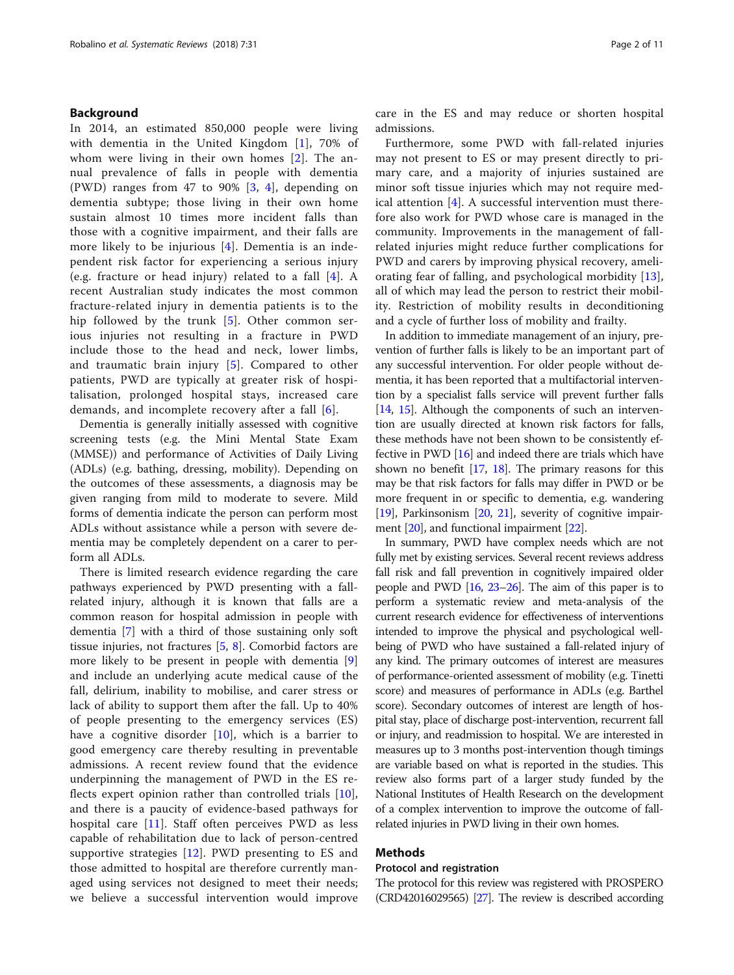## Background

In 2014, an estimated 850,000 people were living with dementia in the United Kingdom [[1\]](#page-9-0), 70% of whom were living in their own homes [[2](#page-9-0)]. The annual prevalence of falls in people with dementia (PWD) ranges from [4](#page-9-0)7 to 90%  $[3, 4]$  $[3, 4]$  $[3, 4]$ , depending on dementia subtype; those living in their own home sustain almost 10 times more incident falls than those with a cognitive impairment, and their falls are more likely to be injurious [[4\]](#page-9-0). Dementia is an independent risk factor for experiencing a serious injury (e.g. fracture or head injury) related to a fall [[4](#page-9-0)]. A recent Australian study indicates the most common fracture-related injury in dementia patients is to the hip followed by the trunk [[5\]](#page-9-0). Other common serious injuries not resulting in a fracture in PWD include those to the head and neck, lower limbs, and traumatic brain injury [[5](#page-9-0)]. Compared to other patients, PWD are typically at greater risk of hospitalisation, prolonged hospital stays, increased care demands, and incomplete recovery after a fall [\[6](#page-9-0)].

Dementia is generally initially assessed with cognitive screening tests (e.g. the Mini Mental State Exam (MMSE)) and performance of Activities of Daily Living (ADLs) (e.g. bathing, dressing, mobility). Depending on the outcomes of these assessments, a diagnosis may be given ranging from mild to moderate to severe. Mild forms of dementia indicate the person can perform most ADLs without assistance while a person with severe dementia may be completely dependent on a carer to perform all ADLs.

There is limited research evidence regarding the care pathways experienced by PWD presenting with a fallrelated injury, although it is known that falls are a common reason for hospital admission in people with dementia [[7\]](#page-9-0) with a third of those sustaining only soft tissue injuries, not fractures [\[5](#page-9-0), [8\]](#page-9-0). Comorbid factors are more likely to be present in people with dementia [\[9](#page-9-0)] and include an underlying acute medical cause of the fall, delirium, inability to mobilise, and carer stress or lack of ability to support them after the fall. Up to 40% of people presenting to the emergency services (ES) have a cognitive disorder  $[10]$  $[10]$ , which is a barrier to good emergency care thereby resulting in preventable admissions. A recent review found that the evidence underpinning the management of PWD in the ES reflects expert opinion rather than controlled trials [\[10](#page-9-0)], and there is a paucity of evidence-based pathways for hospital care [\[11](#page-9-0)]. Staff often perceives PWD as less capable of rehabilitation due to lack of person-centred supportive strategies [[12\]](#page-9-0). PWD presenting to ES and those admitted to hospital are therefore currently managed using services not designed to meet their needs; we believe a successful intervention would improve

care in the ES and may reduce or shorten hospital admissions.

Furthermore, some PWD with fall-related injuries may not present to ES or may present directly to primary care, and a majority of injuries sustained are minor soft tissue injuries which may not require medical attention [\[4](#page-9-0)]. A successful intervention must therefore also work for PWD whose care is managed in the community. Improvements in the management of fallrelated injuries might reduce further complications for PWD and carers by improving physical recovery, ameliorating fear of falling, and psychological morbidity [\[13](#page-9-0)], all of which may lead the person to restrict their mobility. Restriction of mobility results in deconditioning and a cycle of further loss of mobility and frailty.

In addition to immediate management of an injury, prevention of further falls is likely to be an important part of any successful intervention. For older people without dementia, it has been reported that a multifactorial intervention by a specialist falls service will prevent further falls [[14](#page-9-0), [15](#page-9-0)]. Although the components of such an intervention are usually directed at known risk factors for falls, these methods have not been shown to be consistently effective in PWD [[16](#page-9-0)] and indeed there are trials which have shown no benefit  $[17, 18]$  $[17, 18]$  $[17, 18]$  $[17, 18]$  $[17, 18]$ . The primary reasons for this may be that risk factors for falls may differ in PWD or be more frequent in or specific to dementia, e.g. wandering [[19](#page-9-0)], Parkinsonism [\[20,](#page-9-0) [21\]](#page-10-0), severity of cognitive impair-ment [\[20\]](#page-9-0), and functional impairment [[22](#page-10-0)].

In summary, PWD have complex needs which are not fully met by existing services. Several recent reviews address fall risk and fall prevention in cognitively impaired older people and PWD [\[16](#page-9-0), [23](#page-10-0)–[26](#page-10-0)]. The aim of this paper is to perform a systematic review and meta-analysis of the current research evidence for effectiveness of interventions intended to improve the physical and psychological wellbeing of PWD who have sustained a fall-related injury of any kind. The primary outcomes of interest are measures of performance-oriented assessment of mobility (e.g. Tinetti score) and measures of performance in ADLs (e.g. Barthel score). Secondary outcomes of interest are length of hospital stay, place of discharge post-intervention, recurrent fall or injury, and readmission to hospital. We are interested in measures up to 3 months post-intervention though timings are variable based on what is reported in the studies. This review also forms part of a larger study funded by the National Institutes of Health Research on the development of a complex intervention to improve the outcome of fallrelated injuries in PWD living in their own homes.

## Methods

## Protocol and registration

The protocol for this review was registered with PROSPERO (CRD42016029565) [\[27](#page-10-0)]. The review is described according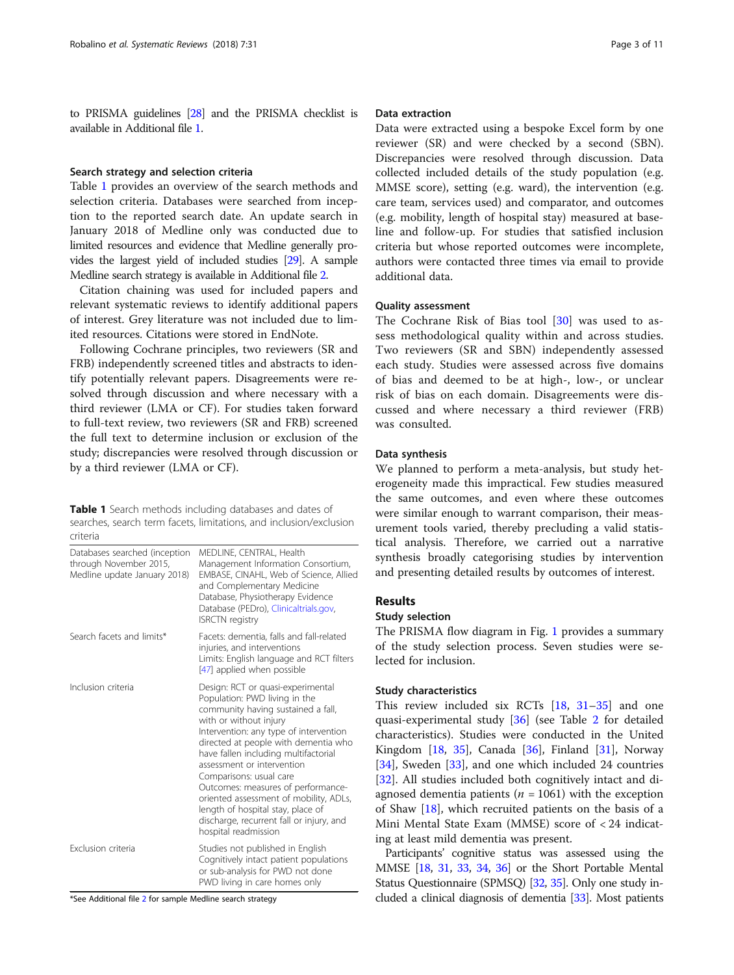to PRISMA guidelines [\[28\]](#page-10-0) and the PRISMA checklist is available in Additional file [1.](#page-9-0)

### Search strategy and selection criteria

Table 1 provides an overview of the search methods and selection criteria. Databases were searched from inception to the reported search date. An update search in January 2018 of Medline only was conducted due to limited resources and evidence that Medline generally provides the largest yield of included studies [\[29](#page-10-0)]. A sample Medline search strategy is available in Additional file [2](#page-9-0).

Citation chaining was used for included papers and relevant systematic reviews to identify additional papers of interest. Grey literature was not included due to limited resources. Citations were stored in EndNote.

Following Cochrane principles, two reviewers (SR and FRB) independently screened titles and abstracts to identify potentially relevant papers. Disagreements were resolved through discussion and where necessary with a third reviewer (LMA or CF). For studies taken forward to full-text review, two reviewers (SR and FRB) screened the full text to determine inclusion or exclusion of the study; discrepancies were resolved through discussion or by a third reviewer (LMA or CF).

Table 1 Search methods including databases and dates of searches, search term facets, limitations, and inclusion/exclusion criteria

| Databases searched (inception<br>through November 2015,<br>Medline update January 2018) | MEDLINE, CENTRAL, Health<br>Management Information Consortium,<br>EMBASE, CINAHL, Web of Science, Allied<br>and Complementary Medicine<br>Database, Physiotherapy Evidence<br>Database (PEDro), Clinicaltrials.gov,<br><b>ISRCTN</b> registry                                                                                                                                                                                                                                                                  |
|-----------------------------------------------------------------------------------------|----------------------------------------------------------------------------------------------------------------------------------------------------------------------------------------------------------------------------------------------------------------------------------------------------------------------------------------------------------------------------------------------------------------------------------------------------------------------------------------------------------------|
| Search facets and limits*                                                               | Facets: dementia, falls and fall-related<br>injuries, and interventions<br>Limits: English language and RCT filters<br>[47] applied when possible                                                                                                                                                                                                                                                                                                                                                              |
| Inclusion criteria                                                                      | Design: RCT or quasi-experimental<br>Population: PWD living in the<br>community having sustained a fall,<br>with or without injury<br>Intervention: any type of intervention<br>directed at people with dementia who<br>have fallen including multifactorial<br>assessment or intervention<br>Comparisons: usual care<br>Outcomes: measures of performance-<br>oriented assessment of mobility, ADLs,<br>length of hospital stay, place of<br>discharge, recurrent fall or injury, and<br>hospital readmission |
| Exclusion criteria                                                                      | Studies not published in English<br>Cognitively intact patient populations<br>or sub-analysis for PWD not done<br>PWD living in care homes only                                                                                                                                                                                                                                                                                                                                                                |

\*See Additional file [2](#page-9-0) for sample Medline search strategy

## Data extraction

Data were extracted using a bespoke Excel form by one reviewer (SR) and were checked by a second (SBN). Discrepancies were resolved through discussion. Data collected included details of the study population (e.g. MMSE score), setting (e.g. ward), the intervention (e.g. care team, services used) and comparator, and outcomes (e.g. mobility, length of hospital stay) measured at baseline and follow-up. For studies that satisfied inclusion criteria but whose reported outcomes were incomplete, authors were contacted three times via email to provide additional data.

## Quality assessment

The Cochrane Risk of Bias tool [[30\]](#page-10-0) was used to assess methodological quality within and across studies. Two reviewers (SR and SBN) independently assessed each study. Studies were assessed across five domains of bias and deemed to be at high-, low-, or unclear risk of bias on each domain. Disagreements were discussed and where necessary a third reviewer (FRB) was consulted.

## Data synthesis

We planned to perform a meta-analysis, but study heterogeneity made this impractical. Few studies measured the same outcomes, and even where these outcomes were similar enough to warrant comparison, their measurement tools varied, thereby precluding a valid statistical analysis. Therefore, we carried out a narrative synthesis broadly categorising studies by intervention and presenting detailed results by outcomes of interest.

## Results

## Study selection

The PRISMA flow diagram in Fig. [1](#page-3-0) provides a summary of the study selection process. Seven studies were selected for inclusion.

### Study characteristics

This review included six RCTs [\[18](#page-9-0), [31](#page-10-0)–[35\]](#page-10-0) and one quasi-experimental study [\[36\]](#page-10-0) (see Table [2](#page-4-0) for detailed characteristics). Studies were conducted in the United Kingdom  $[18, 35]$  $[18, 35]$  $[18, 35]$  $[18, 35]$ , Canada  $[36]$ , Finland  $[31]$  $[31]$ , Norway [[34\]](#page-10-0), Sweden [[33\]](#page-10-0), and one which included 24 countries [[32\]](#page-10-0). All studies included both cognitively intact and diagnosed dementia patients ( $n = 1061$ ) with the exception of Shaw [[18\]](#page-9-0), which recruited patients on the basis of a Mini Mental State Exam (MMSE) score of < 24 indicating at least mild dementia was present.

Participants' cognitive status was assessed using the MMSE [\[18](#page-9-0), [31,](#page-10-0) [33,](#page-10-0) [34](#page-10-0), [36\]](#page-10-0) or the Short Portable Mental Status Questionnaire (SPMSQ) [[32](#page-10-0), [35](#page-10-0)]. Only one study included a clinical diagnosis of dementia [\[33](#page-10-0)]. Most patients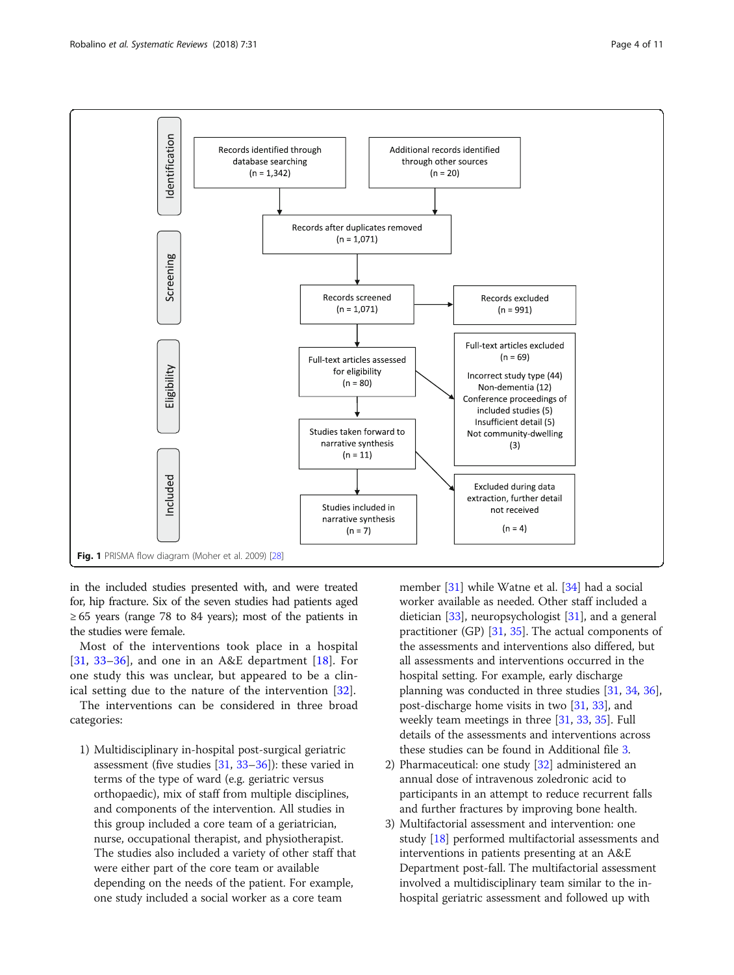<span id="page-3-0"></span>

in the included studies presented with, and were treated for, hip fracture. Six of the seven studies had patients aged  $\geq 65$  years (range 78 to 84 years); most of the patients in the studies were female.

Most of the interventions took place in a hospital [[31,](#page-10-0) [33](#page-10-0)–[36](#page-10-0)], and one in an A&E department [[18\]](#page-9-0). For one study this was unclear, but appeared to be a clinical setting due to the nature of the intervention [[32\]](#page-10-0).

The interventions can be considered in three broad categories:

1) Multidisciplinary in-hospital post-surgical geriatric assessment (five studies [\[31,](#page-10-0) [33](#page-10-0)–[36](#page-10-0)]): these varied in terms of the type of ward (e.g. geriatric versus orthopaedic), mix of staff from multiple disciplines, and components of the intervention. All studies in this group included a core team of a geriatrician, nurse, occupational therapist, and physiotherapist. The studies also included a variety of other staff that were either part of the core team or available depending on the needs of the patient. For example, one study included a social worker as a core team

member [[31](#page-10-0)] while Watne et al. [[34\]](#page-10-0) had a social worker available as needed. Other staff included a dietician [\[33](#page-10-0)], neuropsychologist [\[31\]](#page-10-0), and a general practitioner (GP) [\[31,](#page-10-0) [35\]](#page-10-0). The actual components of the assessments and interventions also differed, but all assessments and interventions occurred in the hospital setting. For example, early discharge planning was conducted in three studies [\[31,](#page-10-0) [34](#page-10-0), [36](#page-10-0)], post-discharge home visits in two [\[31,](#page-10-0) [33](#page-10-0)], and weekly team meetings in three [\[31](#page-10-0), [33,](#page-10-0) [35](#page-10-0)]. Full details of the assessments and interventions across these studies can be found in Additional file [3.](#page-9-0)

- 2) Pharmaceutical: one study [\[32\]](#page-10-0) administered an annual dose of intravenous zoledronic acid to participants in an attempt to reduce recurrent falls and further fractures by improving bone health.
- 3) Multifactorial assessment and intervention: one study [\[18\]](#page-9-0) performed multifactorial assessments and interventions in patients presenting at an A&E Department post-fall. The multifactorial assessment involved a multidisciplinary team similar to the inhospital geriatric assessment and followed up with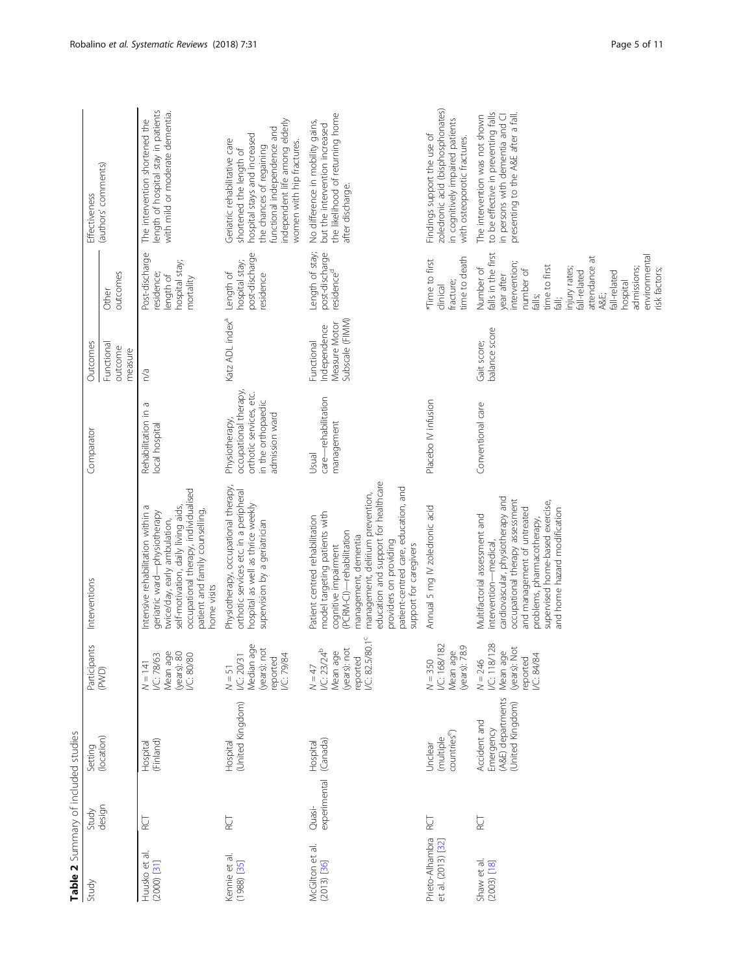<span id="page-4-0"></span>

| Table 2 Summary of included studies   |                        |                                                                    |                                                                                        |                                                                                                                                                                                                                                                                                                                     |                                                                                                            |                                                                |                                                                                                                                                                                                                                                      |                                                                                                                                                                                                                    |
|---------------------------------------|------------------------|--------------------------------------------------------------------|----------------------------------------------------------------------------------------|---------------------------------------------------------------------------------------------------------------------------------------------------------------------------------------------------------------------------------------------------------------------------------------------------------------------|------------------------------------------------------------------------------------------------------------|----------------------------------------------------------------|------------------------------------------------------------------------------------------------------------------------------------------------------------------------------------------------------------------------------------------------------|--------------------------------------------------------------------------------------------------------------------------------------------------------------------------------------------------------------------|
| Study                                 | Study                  | Setting<br>(location)                                              | Participants<br>(PWD)                                                                  | Interventions                                                                                                                                                                                                                                                                                                       | Comparator                                                                                                 | Outcomes                                                       |                                                                                                                                                                                                                                                      | Effectiveness                                                                                                                                                                                                      |
|                                       | design                 |                                                                    |                                                                                        |                                                                                                                                                                                                                                                                                                                     |                                                                                                            | Functional<br>outcome<br>measure                               | outcomes<br>Other                                                                                                                                                                                                                                    | (authors' comments)                                                                                                                                                                                                |
| Huusko et al<br>$(2000)$ [31]         | RCT                    | (Finland)<br>Hospital                                              | Mean age<br>(years): 80<br>I/C: 80/80<br>I/C: 78/63<br>$N = 141$                       | self-motivation, daily living aids,<br>occupational therapy, individualised<br>Intensive rehabilitation within a<br>patient and family counselling,<br>geriatric ward-physiotherapy<br>twice/day, early ambulation,<br>home visits                                                                                  | Rehabilitation in a<br>local hospital                                                                      | n/a                                                            | Post-discharge<br>hospital stay;<br>residence;<br>length of<br>mortality                                                                                                                                                                             | length of hospital stay in patients<br>with mild or moderate dementia.<br>The intervention shortened the                                                                                                           |
| Kennie et al.<br>$(1988)$ [35]        | RCT                    | (United Kingdom)<br>Hospital                                       | Median age<br>(years): not<br>I/C: 20/31<br>I/C: 79/84<br>reported<br>$N = 51$         | Physiotherapy, occupational therapy,<br>orthotic services etc. in a peripheral<br>hospital as well as thrice weekly<br>supervision by a geriatrician                                                                                                                                                                | occupational therapy,<br>orthotic services, etc.<br>in the orthopaedic<br>admission ward<br>Physiotherapy, | Katz ADL index <sup>a</sup>                                    | post-discharge<br>hospital stay;<br>Length of<br>residence                                                                                                                                                                                           | independent life among elderly<br>functional independence and<br>hospital stays and increased<br>Geriatric rehabilitative care<br>women with hip fractures.<br>the chances of regaining<br>shortened the length of |
| McGilton et al.<br>$(2013)$ [36]      | experimental<br>Quasi- | (Canada)<br>Hospital                                               | I/C: 82.5/80.1°<br>(years): not<br>$VC: 23/24^{b}$<br>Mean age<br>reported<br>$N = 47$ | education and support for healthcare<br>patient-centred care, education, and<br>management, delirium prevention,<br>model targeting patients with<br>Patient centred rehabilitation<br>(PCRM-CI)-rehabilitation<br>management, dementia<br>providers on providing<br>support for caregivers<br>cognitive impairment | care-rehabilitation<br>management<br>Usual                                                                 | Subscale (FIMM)<br>Measure Motor<br>Independence<br>Functional | Length of stay;<br>post-discharge<br>residence <sup>d</sup>                                                                                                                                                                                          | the likelihood of returning home<br>No difference in mobility gains,<br>but the intervention increased<br>after discharge.                                                                                         |
| Prieto-Alhambra<br>et al. (2013) [32] | RCT                    | countries <sup>e</sup> )<br>(multiple<br>Unclear                   | I/C: 168/182<br>78.9<br>Mean age<br>$N = 350$<br>(years):                              | Annual 5 mg IV zoledronic acid                                                                                                                                                                                                                                                                                      | Placebo IV infusion                                                                                        |                                                                | time to death<br>"Time to first<br>fracture;<br>clinical                                                                                                                                                                                             | zoledronic acid (bisphosphonates)<br>in cognitively impaired patients<br>Findings support the use of<br>with osteoporotic fractures.                                                                               |
| Shaw et al.<br>$(2003)$ $[18]$        | RCT                    | Emergency<br>(A&E) departments<br>(United Kingdom)<br>Accident and | I/C: 118/128<br>Mean age<br>(years): Not<br>reported<br>I/C: 84/84<br>$N = 246$        | cardiovascular, physiotherapy and<br>occupational therapy assessment<br>supervised home-based exercise,<br>and management of untreated<br>and home hazard modification<br>Multifactorial assessment and<br>problems, pharmacotherapy,<br>intervention-medical                                                       | Conventional care                                                                                          | balance score<br>Gait score;                                   | falls in the first<br>environmental<br>attendance at<br>ntervention;<br>time to first<br>Number of<br>admissions;<br>injury rates;<br>risk factors;<br>number of<br>fall-related<br>fall-related<br>rear after<br>hospital<br>A&E<br>falls;<br>fall; | to be effective in preventing falls<br>in persons with dementia and CI<br>presenting to the A&E after a fall.<br>The intervention was not shown                                                                    |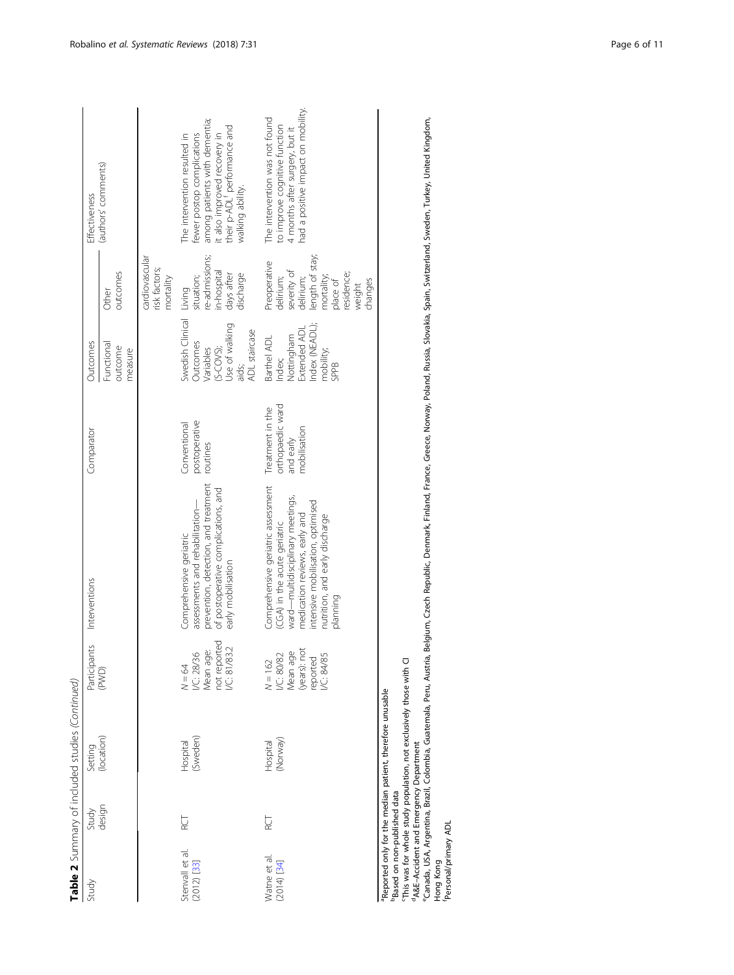|                                |        | Table 2 Summary of included studies (Continued)      |                                                                               |                                                                                                                                                                                                                           |                                                                   |                                                                                                             |                                                                                                                                       |                                                                                                                                                                                            |
|--------------------------------|--------|------------------------------------------------------|-------------------------------------------------------------------------------|---------------------------------------------------------------------------------------------------------------------------------------------------------------------------------------------------------------------------|-------------------------------------------------------------------|-------------------------------------------------------------------------------------------------------------|---------------------------------------------------------------------------------------------------------------------------------------|--------------------------------------------------------------------------------------------------------------------------------------------------------------------------------------------|
| Study                          | Study  | Setting                                              | Participants<br>(PWD)                                                         | Interventions                                                                                                                                                                                                             | Comparator                                                        | Outcomes                                                                                                    |                                                                                                                                       | Effectiveness                                                                                                                                                                              |
|                                | design | (location)                                           |                                                                               |                                                                                                                                                                                                                           |                                                                   | Functional<br>outcome<br>measure                                                                            | outcomes<br>Other                                                                                                                     | (authors' comments)                                                                                                                                                                        |
|                                |        |                                                      |                                                                               |                                                                                                                                                                                                                           |                                                                   |                                                                                                             | cardiovascular<br>risk factors;<br>mortality                                                                                          |                                                                                                                                                                                            |
| Stenvall et al.<br>(2012) [33] | RCT    | Hospital<br>(Sweden)                                 | not reported<br>I/C: 81/83.2<br>Mean age:<br>I/C: 28/36<br>$N = 64$           | prevention, detection, and treatment<br>of postoperative complications, and<br>assessments and rehabilitation-<br>Comprehensive geriatric<br>early mobilisation                                                           | postoperative<br>Conventional<br>routines                         | Swedish Clinical<br>Jse of walking<br>ADL staircase<br><b>Dutcomes</b><br>$(S-COVS);$<br>Variables<br>aids; | re-admissions;<br>in-hospital<br>discharge<br>days after<br>situation;<br>I Living                                                    | among patients with dementia;<br>it also improved recovery in<br>their p-ADL <sup>f</sup> performance and<br>ewer postop complications<br>The intervention resulted in<br>walking ability. |
| Watne et al.<br>(2014) [34]    | RCT    | Hospital<br>(Norway)                                 | (years): not<br>Mean age<br>I/C: 80/82<br>reported<br>I/C: 84/85<br>$N = 162$ | Comprehensive geriatric assessment<br>(CGA) in the acute geriatric<br>ward—multidisciplinary meetings,<br>ntensive mobilisation, optimised<br>medication reviews, early and<br>nutrition, and early discharge<br>planning | orthopaedic ward<br>Treatment in the<br>mobilisation<br>and early | ndex (NEADL);<br>Nottingham<br>Extended ADL<br>Barthel ADL<br>mobility;<br>SPPB<br>Index;                   | length of stay;<br>Preoperative<br>severity of<br>residence;<br>mortality;<br>place of<br>delirium;<br>delirium;<br>changes<br>weight | had a positive impact on mobility.<br>The intervention was not found<br>to improve cognitive function<br>4 months after surgery, but it                                                    |
|                                |        | aparama di salah tanjara majara tanah tang manangang |                                                                               |                                                                                                                                                                                                                           |                                                                   |                                                                                                             |                                                                                                                                       |                                                                                                                                                                                            |

aReported only for the median patient, therefore unusable

bBased on non-published data

cThis was for whole study population, not exclusively those with CI

dA&E–Accident and Emergency Department

"Reported only for the median patient, therefore unusable<br>"Based on non-published data<br>"This was for whole study population, not exclusively those with Cl<br>"A&E-Accident and Emergency Department<br>"Personal/primary ADL<br>"Perso eCanada, USA, Argentina, Brazil, Colombia, Guatemala, Peru, Austria, Belgium, Czech Republic, Denmark, Finland, France, Greece, Norway, Poland, Russia, Slovakia, Spain, Switzerland, Sweden, Turkey, United Kingdom, Hong Kong

fPersonal/primary ADL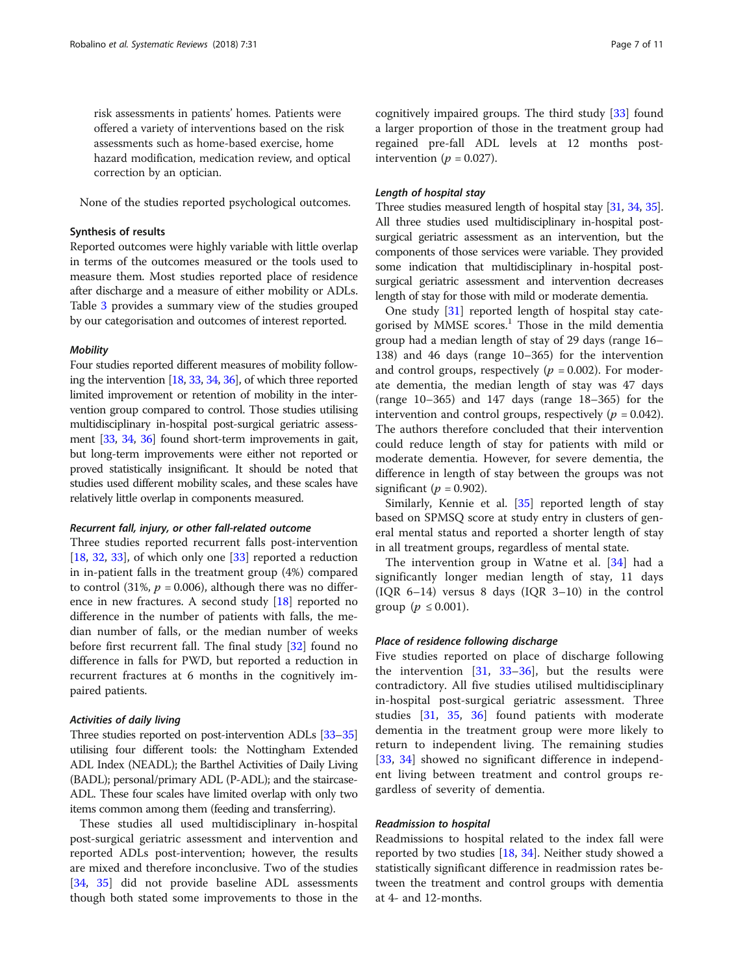risk assessments in patients' homes. Patients were offered a variety of interventions based on the risk assessments such as home-based exercise, home hazard modification, medication review, and optical correction by an optician.

None of the studies reported psychological outcomes.

### Synthesis of results

Reported outcomes were highly variable with little overlap in terms of the outcomes measured or the tools used to measure them. Most studies reported place of residence after discharge and a measure of either mobility or ADLs. Table [3](#page-7-0) provides a summary view of the studies grouped by our categorisation and outcomes of interest reported.

## **Mobility**

Four studies reported different measures of mobility following the intervention [[18,](#page-9-0) [33,](#page-10-0) [34,](#page-10-0) [36\]](#page-10-0), of which three reported limited improvement or retention of mobility in the intervention group compared to control. Those studies utilising multidisciplinary in-hospital post-surgical geriatric assessment [[33](#page-10-0), [34](#page-10-0), [36\]](#page-10-0) found short-term improvements in gait, but long-term improvements were either not reported or proved statistically insignificant. It should be noted that studies used different mobility scales, and these scales have relatively little overlap in components measured.

## Recurrent fall, injury, or other fall-related outcome

Three studies reported recurrent falls post-intervention [[18,](#page-9-0) [32,](#page-10-0) [33](#page-10-0)], of which only one [\[33](#page-10-0)] reported a reduction in in-patient falls in the treatment group (4%) compared to control (31%,  $p = 0.006$ ), although there was no difference in new fractures. A second study [[18](#page-9-0)] reported no difference in the number of patients with falls, the median number of falls, or the median number of weeks before first recurrent fall. The final study [[32\]](#page-10-0) found no difference in falls for PWD, but reported a reduction in recurrent fractures at 6 months in the cognitively impaired patients.

## Activities of daily living

Three studies reported on post-intervention ADLs [[33](#page-10-0)–[35](#page-10-0)] utilising four different tools: the Nottingham Extended ADL Index (NEADL); the Barthel Activities of Daily Living (BADL); personal/primary ADL (P-ADL); and the staircase-ADL. These four scales have limited overlap with only two items common among them (feeding and transferring).

These studies all used multidisciplinary in-hospital post-surgical geriatric assessment and intervention and reported ADLs post-intervention; however, the results are mixed and therefore inconclusive. Two of the studies [[34,](#page-10-0) [35](#page-10-0)] did not provide baseline ADL assessments though both stated some improvements to those in the

cognitively impaired groups. The third study [[33\]](#page-10-0) found a larger proportion of those in the treatment group had regained pre-fall ADL levels at 12 months postintervention ( $p = 0.027$ ).

### Length of hospital stay

Three studies measured length of hospital stay [\[31,](#page-10-0) [34,](#page-10-0) [35](#page-10-0)]. All three studies used multidisciplinary in-hospital postsurgical geriatric assessment as an intervention, but the components of those services were variable. They provided some indication that multidisciplinary in-hospital postsurgical geriatric assessment and intervention decreases length of stay for those with mild or moderate dementia.

One study [[31\]](#page-10-0) reported length of hospital stay categorised by MMSE scores. $1$  Those in the mild dementia group had a median length of stay of 29 days (range 16– 138) and 46 days (range 10–365) for the intervention and control groups, respectively ( $p = 0.002$ ). For moderate dementia, the median length of stay was 47 days (range 10–365) and 147 days (range 18–365) for the intervention and control groups, respectively ( $p = 0.042$ ). The authors therefore concluded that their intervention could reduce length of stay for patients with mild or moderate dementia. However, for severe dementia, the difference in length of stay between the groups was not significant ( $p = 0.902$ ).

Similarly, Kennie et al. [\[35](#page-10-0)] reported length of stay based on SPMSQ score at study entry in clusters of general mental status and reported a shorter length of stay in all treatment groups, regardless of mental state.

The intervention group in Watne et al. [[34\]](#page-10-0) had a significantly longer median length of stay, 11 days (IQR 6–14) versus 8 days (IQR 3–10) in the control group ( $p \leq 0.001$ ).

## Place of residence following discharge

Five studies reported on place of discharge following the intervention  $[31, 33-36]$  $[31, 33-36]$  $[31, 33-36]$  $[31, 33-36]$  $[31, 33-36]$  $[31, 33-36]$ , but the results were contradictory. All five studies utilised multidisciplinary in-hospital post-surgical geriatric assessment. Three studies [[31,](#page-10-0) [35](#page-10-0), [36](#page-10-0)] found patients with moderate dementia in the treatment group were more likely to return to independent living. The remaining studies [[33,](#page-10-0) [34](#page-10-0)] showed no significant difference in independent living between treatment and control groups regardless of severity of dementia.

### Readmission to hospital

Readmissions to hospital related to the index fall were reported by two studies  $[18, 34]$  $[18, 34]$  $[18, 34]$ . Neither study showed a statistically significant difference in readmission rates between the treatment and control groups with dementia at 4- and 12-months.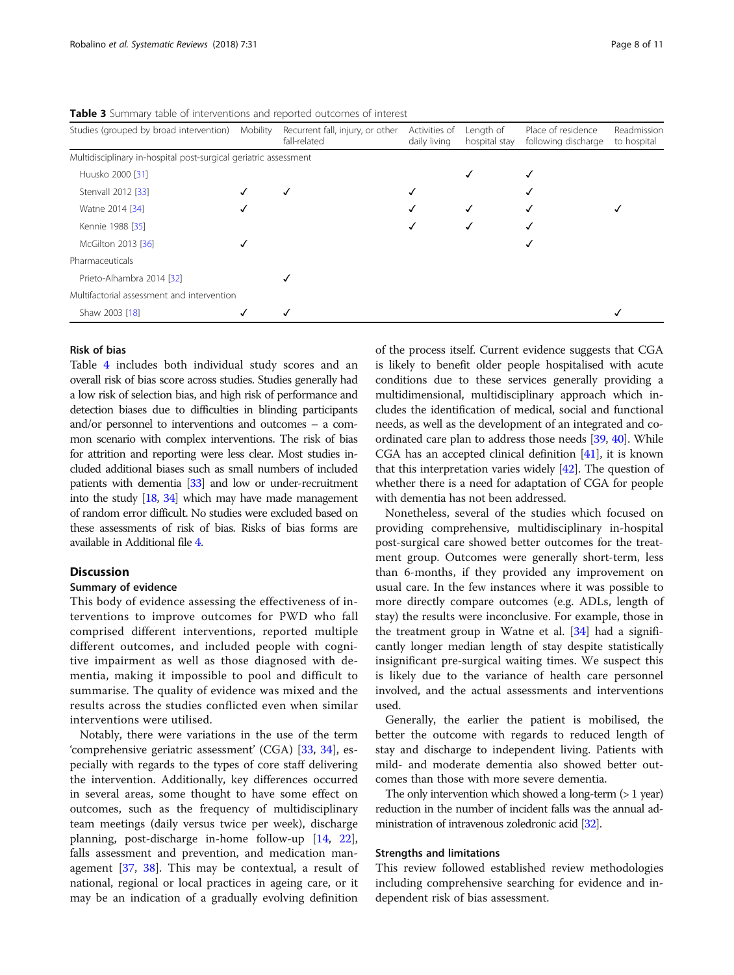| Studies (grouped by broad intervention)                          | Mobility | Recurrent fall, injury, or other<br>fall-related | Activities of<br>daily living | Length of<br>hospital stay | Place of residence<br>following discharge | Readmission<br>to hospital |
|------------------------------------------------------------------|----------|--------------------------------------------------|-------------------------------|----------------------------|-------------------------------------------|----------------------------|
| Multidisciplinary in-hospital post-surgical geriatric assessment |          |                                                  |                               |                            |                                           |                            |
| Huusko 2000 [31]                                                 |          |                                                  |                               | √                          |                                           |                            |
| Stenvall 2012 [33]                                               |          |                                                  |                               |                            |                                           |                            |
| Watne 2014 [34]                                                  |          |                                                  |                               | √                          |                                           |                            |
| Kennie 1988 [35]                                                 |          |                                                  |                               |                            |                                           |                            |
| McGilton 2013 [36]                                               |          |                                                  |                               |                            |                                           |                            |
| Pharmaceuticals                                                  |          |                                                  |                               |                            |                                           |                            |
| Prieto-Alhambra 2014 [32]                                        |          |                                                  |                               |                            |                                           |                            |
| Multifactorial assessment and intervention                       |          |                                                  |                               |                            |                                           |                            |
| Shaw 2003 [18]                                                   |          |                                                  |                               |                            |                                           |                            |

<span id="page-7-0"></span>Table 3 Summary table of interventions and reported outcomes of interest

## Risk of bias

Table [4](#page-8-0) includes both individual study scores and an overall risk of bias score across studies. Studies generally had a low risk of selection bias, and high risk of performance and detection biases due to difficulties in blinding participants and/or personnel to interventions and outcomes – a common scenario with complex interventions. The risk of bias for attrition and reporting were less clear. Most studies included additional biases such as small numbers of included patients with dementia [\[33\]](#page-10-0) and low or under-recruitment into the study [\[18](#page-9-0), [34\]](#page-10-0) which may have made management of random error difficult. No studies were excluded based on these assessments of risk of bias. Risks of bias forms are available in Additional file [4.](#page-9-0)

## **Discussion**

## Summary of evidence

This body of evidence assessing the effectiveness of interventions to improve outcomes for PWD who fall comprised different interventions, reported multiple different outcomes, and included people with cognitive impairment as well as those diagnosed with dementia, making it impossible to pool and difficult to summarise. The quality of evidence was mixed and the results across the studies conflicted even when similar interventions were utilised.

Notably, there were variations in the use of the term 'comprehensive geriatric assessment' (CGA) [[33](#page-10-0), [34\]](#page-10-0), especially with regards to the types of core staff delivering the intervention. Additionally, key differences occurred in several areas, some thought to have some effect on outcomes, such as the frequency of multidisciplinary team meetings (daily versus twice per week), discharge planning, post-discharge in-home follow-up [[14,](#page-9-0) [22](#page-10-0)], falls assessment and prevention, and medication management [\[37](#page-10-0), [38](#page-10-0)]. This may be contextual, a result of national, regional or local practices in ageing care, or it may be an indication of a gradually evolving definition of the process itself. Current evidence suggests that CGA is likely to benefit older people hospitalised with acute conditions due to these services generally providing a multidimensional, multidisciplinary approach which includes the identification of medical, social and functional needs, as well as the development of an integrated and coordinated care plan to address those needs [\[39,](#page-10-0) [40](#page-10-0)]. While CGA has an accepted clinical definition [\[41\]](#page-10-0), it is known that this interpretation varies widely [[42](#page-10-0)]. The question of whether there is a need for adaptation of CGA for people with dementia has not been addressed.

Nonetheless, several of the studies which focused on providing comprehensive, multidisciplinary in-hospital post-surgical care showed better outcomes for the treatment group. Outcomes were generally short-term, less than 6-months, if they provided any improvement on usual care. In the few instances where it was possible to more directly compare outcomes (e.g. ADLs, length of stay) the results were inconclusive. For example, those in the treatment group in Watne et al. [[34\]](#page-10-0) had a significantly longer median length of stay despite statistically insignificant pre-surgical waiting times. We suspect this is likely due to the variance of health care personnel involved, and the actual assessments and interventions used.

Generally, the earlier the patient is mobilised, the better the outcome with regards to reduced length of stay and discharge to independent living. Patients with mild- and moderate dementia also showed better outcomes than those with more severe dementia.

The only intervention which showed a long-term (> 1 year) reduction in the number of incident falls was the annual administration of intravenous zoledronic acid [\[32\]](#page-10-0).

## Strengths and limitations

This review followed established review methodologies including comprehensive searching for evidence and independent risk of bias assessment.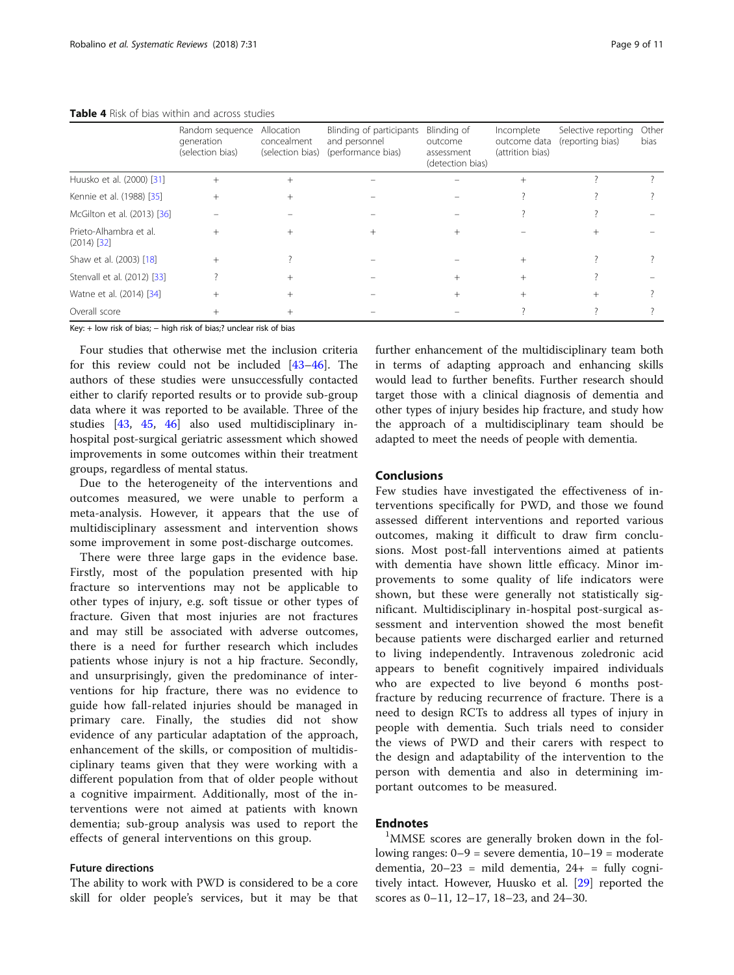|                                         | Random sequence<br>generation<br>(selection bias) | Allocation<br>concealment<br>(selection bias) | Blinding of participants<br>and personnel<br>(performance bias) | Blinding of<br>outcome<br>assessment<br>(detection bias) | Incomplete<br>outcome data<br>(attrition bias) | Selective reporting<br>(reporting bias) | Other<br>bias |
|-----------------------------------------|---------------------------------------------------|-----------------------------------------------|-----------------------------------------------------------------|----------------------------------------------------------|------------------------------------------------|-----------------------------------------|---------------|
| Huusko et al. (2000) [31]               | $+$                                               |                                               |                                                                 |                                                          |                                                |                                         |               |
| Kennie et al. (1988) [35]               | $+$                                               |                                               |                                                                 |                                                          |                                                |                                         |               |
| McGilton et al. (2013) [36]             |                                                   |                                               |                                                                 |                                                          |                                                |                                         |               |
| Prieto-Alhambra et al.<br>$(2014)$ [32] | $^{+}$                                            |                                               | $^+$                                                            |                                                          |                                                |                                         |               |
| Shaw et al. (2003) [18]                 | $+$                                               |                                               |                                                                 |                                                          |                                                |                                         |               |
| Stenvall et al. (2012) [33]             |                                                   |                                               |                                                                 |                                                          |                                                |                                         |               |
| Watne et al. (2014) [34]                | $^{+}$                                            |                                               |                                                                 |                                                          |                                                |                                         |               |
| Overall score                           |                                                   |                                               |                                                                 |                                                          |                                                |                                         |               |

<span id="page-8-0"></span>Table 4 Risk of bias within and across studies

Key: + low risk of bias; − high risk of bias;? unclear risk of bias

Four studies that otherwise met the inclusion criteria for this review could not be included [\[43](#page-10-0)–[46\]](#page-10-0). The authors of these studies were unsuccessfully contacted either to clarify reported results or to provide sub-group data where it was reported to be available. Three of the studies [\[43](#page-10-0), [45](#page-10-0), [46\]](#page-10-0) also used multidisciplinary inhospital post-surgical geriatric assessment which showed improvements in some outcomes within their treatment groups, regardless of mental status.

Due to the heterogeneity of the interventions and outcomes measured, we were unable to perform a meta-analysis. However, it appears that the use of multidisciplinary assessment and intervention shows some improvement in some post-discharge outcomes.

There were three large gaps in the evidence base. Firstly, most of the population presented with hip fracture so interventions may not be applicable to other types of injury, e.g. soft tissue or other types of fracture. Given that most injuries are not fractures and may still be associated with adverse outcomes, there is a need for further research which includes patients whose injury is not a hip fracture. Secondly, and unsurprisingly, given the predominance of interventions for hip fracture, there was no evidence to guide how fall-related injuries should be managed in primary care. Finally, the studies did not show evidence of any particular adaptation of the approach, enhancement of the skills, or composition of multidisciplinary teams given that they were working with a different population from that of older people without a cognitive impairment. Additionally, most of the interventions were not aimed at patients with known dementia; sub-group analysis was used to report the effects of general interventions on this group.

## Future directions

The ability to work with PWD is considered to be a core skill for older people's services, but it may be that

further enhancement of the multidisciplinary team both in terms of adapting approach and enhancing skills would lead to further benefits. Further research should target those with a clinical diagnosis of dementia and other types of injury besides hip fracture, and study how the approach of a multidisciplinary team should be adapted to meet the needs of people with dementia.

## Conclusions

Few studies have investigated the effectiveness of interventions specifically for PWD, and those we found assessed different interventions and reported various outcomes, making it difficult to draw firm conclusions. Most post-fall interventions aimed at patients with dementia have shown little efficacy. Minor improvements to some quality of life indicators were shown, but these were generally not statistically significant. Multidisciplinary in-hospital post-surgical assessment and intervention showed the most benefit because patients were discharged earlier and returned to living independently. Intravenous zoledronic acid appears to benefit cognitively impaired individuals who are expected to live beyond 6 months postfracture by reducing recurrence of fracture. There is a need to design RCTs to address all types of injury in people with dementia. Such trials need to consider the views of PWD and their carers with respect to the design and adaptability of the intervention to the person with dementia and also in determining important outcomes to be measured.

## **Endnotes**

<sup>1</sup>MMSE scores are generally broken down in the following ranges: 0–9 = severe dementia, 10–19 = moderate dementia,  $20-23$  = mild dementia,  $24+$  = fully cognitively intact. However, Huusko et al. [[29\]](#page-10-0) reported the scores as 0–11, 12–17, 18–23, and 24–30.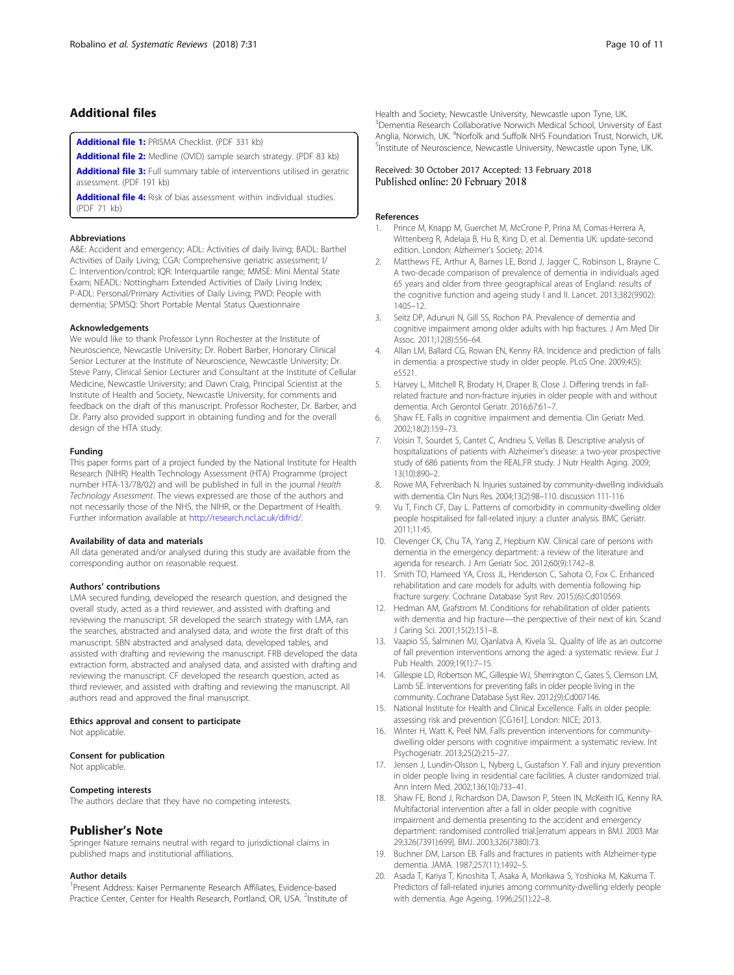## <span id="page-9-0"></span>Additional files

[Additional file 1:](https://doi.org/10.1186/s13643-018-0697-6) PRISMA Checklist. (PDF 331 kb)

[Additional file 2:](https://doi.org/10.1186/s13643-018-0697-6) Medline (OVID) sample search strategy. (PDF 83 kb) [Additional file 3:](https://doi.org/10.1186/s13643-018-0697-6) Full summary table of interventions utilised in geratric assessment. (PDF 191 kb)

[Additional file 4:](https://doi.org/10.1186/s13643-018-0697-6) Risk of bias assessment within individual studies. (PDF 71 kb)

#### Abbreviations

A&E: Accident and emergency; ADL: Activities of daily living; BADL: Barthel Activities of Daily Living; CGA: Comprehensive geriatric assessment; I/ C: Intervention/control; IQR: Interquartile range; MMSE: Mini Mental State Exam; NEADL: Nottingham Extended Activities of Daily Living Index; P-ADL: Personal/Primary Activities of Daily Living; PWD: People with dementia; SPMSQ: Short Portable Mental Status Questionnaire

### Acknowledgements

We would like to thank Professor Lynn Rochester at the Institute of Neuroscience, Newcastle University; Dr. Robert Barber, Honorary Clinical Senior Lecturer at the Institute of Neuroscience, Newcastle University; Dr. Steve Parry, Clinical Senior Lecturer and Consultant at the Institute of Cellular Medicine, Newcastle University; and Dawn Craig, Principal Scientist at the Institute of Health and Society, Newcastle University, for comments and feedback on the draft of this manuscript. Professor Rochester, Dr. Barber, and Dr. Parry also provided support in obtaining funding and for the overall design of the HTA study.

### Funding

This paper forms part of a project funded by the National Institute for Health Research (NIHR) Health Technology Assessment (HTA) Programme (project number HTA-13/78/02) and will be published in full in the journal Health Technology Assessment. The views expressed are those of the authors and not necessarily those of the NHS, the NIHR, or the Department of Health. Further information available at [http://research.ncl.ac.uk/difrid/](http://research.ncl.ac.uk/difrid).

#### Availability of data and materials

All data generated and/or analysed during this study are available from the corresponding author on reasonable request.

#### Authors' contributions

LMA secured funding, developed the research question, and designed the overall study, acted as a third reviewer, and assisted with drafting and reviewing the manuscript. SR developed the search strategy with LMA, ran the searches, abstracted and analysed data, and wrote the first draft of this manuscript. SBN abstracted and analysed data, developed tables, and assisted with drafting and reviewing the manuscript. FRB developed the data extraction form, abstracted and analysed data, and assisted with drafting and reviewing the manuscript. CF developed the research question, acted as third reviewer, and assisted with drafting and reviewing the manuscript. All authors read and approved the final manuscript.

### Ethics approval and consent to participate

Not applicable.

#### Consent for publication

Not applicable.

#### Competing interests

The authors declare that they have no competing interests.

### Publisher's Note

Springer Nature remains neutral with regard to jurisdictional claims in published maps and institutional affiliations.

#### Author details

<sup>1</sup> Present Address: Kaiser Permanente Research Affiliates, Evidence-based Practice Center, Center for Health Research, Portland, OR, USA. <sup>2</sup>Institute of Health and Society, Newcastle University, Newcastle upon Tyne, UK. <sup>3</sup> Dementia Research Collaborative Norwich Medical School, University of East Anglia, Norwich, UK. <sup>4</sup>Norfolk and Suffolk NHS Foundation Trust, Norwich, UK.<br><sup>5</sup>Institute of Neuroscience Newcastle University, Newcastle upon Type UK. <sup>5</sup>Institute of Neuroscience, Newcastle University, Newcastle upon Tyne, UK.

## Received: 30 October 2017 Accepted: 13 February 2018 Published online: 20 February 2018

#### References

- 1. Prince M, Knapp M, Guerchet M, McCrone P, Prina M, Comas-Herrera A, Wittenberg R, Adelaja B, Hu B, King D, et al. Dementia UK: update-second edition. London: Alzheimer's Society; 2014.
- 2. Matthews FE, Arthur A, Barnes LE, Bond J, Jagger C, Robinson L, Brayne C. A two-decade comparison of prevalence of dementia in individuals aged 65 years and older from three geographical areas of England: results of the cognitive function and ageing study I and II. Lancet. 2013;382(9902): 1405–12.
- 3. Seitz DP, Adunuri N, Gill SS, Rochon PA. Prevalence of dementia and cognitive impairment among older adults with hip fractures. J Am Med Dir Assoc. 2011;12(8):556–64.
- 4. Allan LM, Ballard CG, Rowan EN, Kenny RA. Incidence and prediction of falls in dementia: a prospective study in older people. PLoS One. 2009;4(5): e5521.
- 5. Harvey L, Mitchell R, Brodaty H, Draper B, Close J. Differing trends in fallrelated fracture and non-fracture injuries in older people with and without dementia. Arch Gerontol Geriatr. 2016;67:61–7.
- 6. Shaw FE. Falls in cognitive impairment and dementia. Clin Geriatr Med. 2002;18(2):159–73.
- 7. Voisin T, Sourdet S, Cantet C, Andrieu S, Vellas B. Descriptive analysis of hospitalizations of patients with Alzheimer's disease: a two-year prospective study of 686 patients from the REAL.FR study. J Nutr Health Aging. 2009; 13(10):890–2.
- 8. Rowe MA, Fehrenbach N. Injuries sustained by community-dwelling individuals with dementia. Clin Nurs Res. 2004;13(2):98–110. discussion 111-116
- 9. Vu T, Finch CF, Day L. Patterns of comorbidity in community-dwelling older people hospitalised for fall-related injury: a cluster analysis. BMC Geriatr. 2011;11:45.
- 10. Clevenger CK, Chu TA, Yang Z, Hepburn KW. Clinical care of persons with dementia in the emergency department: a review of the literature and agenda for research. J Am Geriatr Soc. 2012;60(9):1742–8.
- 11. Smith TO, Hameed YA, Cross JL, Henderson C, Sahota O, Fox C. Enhanced rehabilitation and care models for adults with dementia following hip fracture surgery. Cochrane Database Syst Rev. 2015;(6):Cd010569.
- 12. Hedman AM, Grafstrom M. Conditions for rehabilitation of older patients with dementia and hip fracture—the perspective of their next of kin. Scand J Caring Sci. 2001;15(2):151–8.
- 13. Vaapio SS, Salminen MJ, Ojanlatva A, Kivela SL. Quality of life as an outcome of fall prevention interventions among the aged: a systematic review. Eur J Pub Health. 2009;19(1):7–15.
- 14. Gillespie LD, Robertson MC, Gillespie WJ, Sherrington C, Gates S, Clemson LM, Lamb SE. Interventions for preventing falls in older people living in the community. Cochrane Database Syst Rev. 2012;(9):Cd007146.
- 15. National Institute for Health and Clinical Excellence. Falls in older people: assessing risk and prevention [CG161]. London: NICE; 2013.
- 16. Winter H, Watt K, Peel NM. Falls prevention interventions for communitydwelling older persons with cognitive impairment: a systematic review. Int Psychogeriatr. 2013;25(2):215–27.
- 17. Jensen J, Lundin-Olsson L, Nyberg L, Gustafson Y. Fall and injury prevention in older people living in residential care facilities. A cluster randomized trial. Ann Intern Med. 2002;136(10):733–41.
- 18. Shaw FE, Bond J, Richardson DA, Dawson P, Steen IN, McKeith IG, Kenny RA. Multifactorial intervention after a fall in older people with cognitive impairment and dementia presenting to the accident and emergency department: randomised controlled trial.[erratum appears in BMJ. 2003 Mar 29;326(7391):699]. BMJ. 2003;326(7380):73.
- 19. Buchner DM, Larson EB. Falls and fractures in patients with Alzheimer-type dementia. JAMA. 1987;257(11):1492–5.
- 20. Asada T, Kariya T, Kinoshita T, Asaka A, Morikawa S, Yoshioka M, Kakuma T. Predictors of fall-related injuries among community-dwelling elderly people with dementia. Age Ageing. 1996;25(1):22–8.